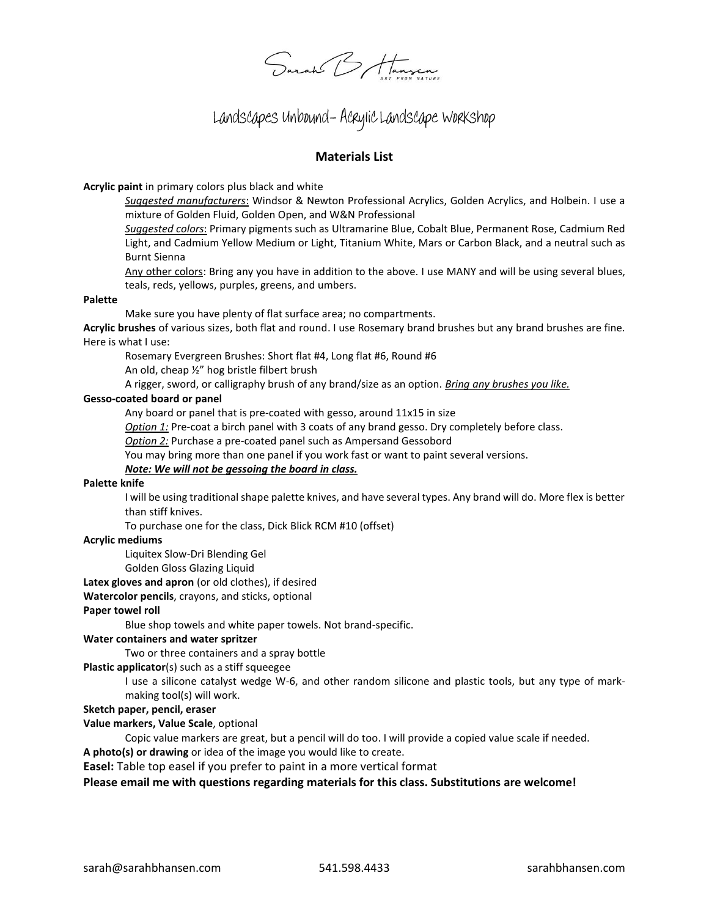Sarah B Hannon

# Landscapes Unbound- Acrylic Landscape Workshop

# **Materials List**

**Acrylic paint** in primary colors plus black and white

*Suggested manufacturers*: Windsor & Newton Professional Acrylics, Golden Acrylics, and Holbein. I use a mixture of Golden Fluid, Golden Open, and W&N Professional

*Suggested colors*: Primary pigments such as Ultramarine Blue, Cobalt Blue, Permanent Rose, Cadmium Red Light, and Cadmium Yellow Medium or Light, Titanium White, Mars or Carbon Black, and a neutral such as Burnt Sienna

Any other colors: Bring any you have in addition to the above. I use MANY and will be using several blues, teals, reds, yellows, purples, greens, and umbers.

# **Palette**

Make sure you have plenty of flat surface area; no compartments.

**Acrylic brushes** of various sizes, both flat and round. I use Rosemary brand brushes but any brand brushes are fine. Here is what I use:

Rosemary Evergreen Brushes: Short flat #4, Long flat #6, Round #6

An old, cheap ½" hog bristle filbert brush

A rigger, sword, or calligraphy brush of any brand/size as an option. *Bring any brushes you like.*

# **Gesso-coated board or panel**

Any board or panel that is pre-coated with gesso, around 11x15 in size

*Option 1:* Pre-coat a birch panel with 3 coats of any brand gesso. Dry completely before class.

*Option 2:* Purchase a pre-coated panel such as Ampersand Gessobord

You may bring more than one panel if you work fast or want to paint several versions.

# *Note: We will not be gessoing the board in class.*

# **Palette knife**

I will be using traditional shape palette knives, and have several types. Any brand will do. More flex is better than stiff knives.

To purchase one for the class, Dick Blick RCM #10 (offset)

# **Acrylic mediums**

Liquitex Slow-Dri Blending Gel

Golden Gloss Glazing Liquid

**Latex gloves and apron** (or old clothes), if desired

# **Watercolor pencils**, crayons, and sticks, optional

# **Paper towel roll**

Blue shop towels and white paper towels. Not brand-specific.

#### **Water containers and water spritzer**

Two or three containers and a spray bottle

**Plastic applicator**(s) such as a stiff squeegee

I use a silicone catalyst wedge W-6, and other random silicone and plastic tools, but any type of markmaking tool(s) will work.

# **Sketch paper, pencil, eraser**

# **Value markers, Value Scale**, optional

Copic value markers are great, but a pencil will do too. I will provide a copied value scale if needed.

**A photo(s) or drawing** or idea of the image you would like to create.

**Easel:** Table top easel if you prefer to paint in a more vertical format

# **Please email me with questions regarding materials for this class. Substitutions are welcome!**